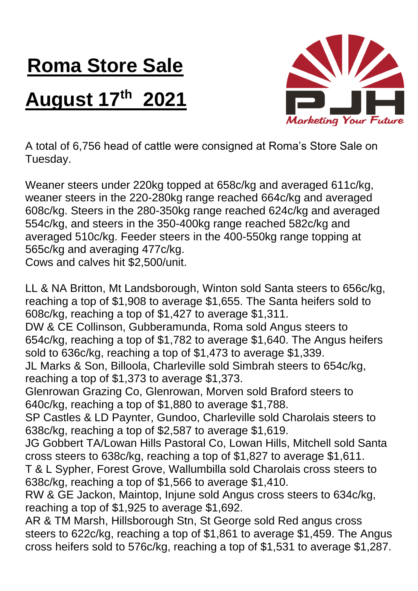## **Roma Store Sale**

## **August 17 th 2021**



A total of 6,756 head of cattle were consigned at Roma's Store Sale on Tuesday.

Weaner steers under 220kg topped at 658c/kg and averaged 611c/kg, weaner steers in the 220-280kg range reached 664c/kg and averaged 608c/kg. Steers in the 280-350kg range reached 624c/kg and averaged 554c/kg, and steers in the 350-400kg range reached 582c/kg and averaged 510c/kg. Feeder steers in the 400-550kg range topping at 565c/kg and averaging 477c/kg.

Cows and calves hit \$2,500/unit.

LL & NA Britton, Mt Landsborough, Winton sold Santa steers to 656c/kg, reaching a top of \$1,908 to average \$1,655. The Santa heifers sold to 608c/kg, reaching a top of \$1,427 to average \$1,311. DW & CE Collinson, Gubberamunda, Roma sold Angus steers to 654c/kg, reaching a top of \$1,782 to average \$1,640. The Angus heifers sold to 636c/kg, reaching a top of \$1,473 to average \$1,339. JL Marks & Son, Billoola, Charleville sold Simbrah steers to 654c/kg, reaching a top of \$1,373 to average \$1,373. Glenrowan Grazing Co, Glenrowan, Morven sold Braford steers to 640c/kg, reaching a top of \$1,880 to average \$1,788. SP Castles & LD Paynter, Gundoo, Charleville sold Charolais steers to 638c/kg, reaching a top of \$2,587 to average \$1,619. JG Gobbert TA/Lowan Hills Pastoral Co, Lowan Hills, Mitchell sold Santa cross steers to 638c/kg, reaching a top of \$1,827 to average \$1,611. T & L Sypher, Forest Grove, Wallumbilla sold Charolais cross steers to 638c/kg, reaching a top of \$1,566 to average \$1,410. RW & GE Jackon, Maintop, Injune sold Angus cross steers to 634c/kg, reaching a top of \$1,925 to average \$1,692. AR & TM Marsh, Hillsborough Stn, St George sold Red angus cross steers to 622c/kg, reaching a top of \$1,861 to average \$1,459. The Angus

cross heifers sold to 576c/kg, reaching a top of \$1,531 to average \$1,287.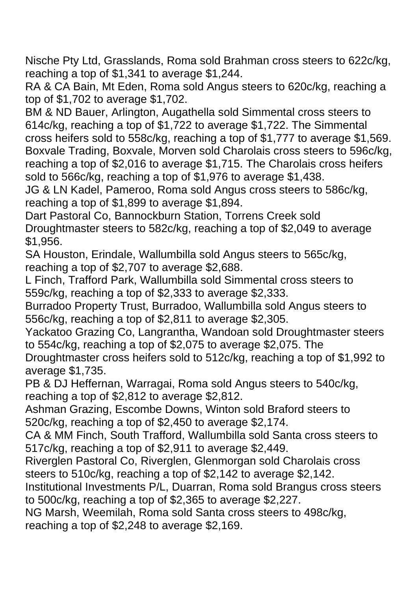Nische Pty Ltd, Grasslands, Roma sold Brahman cross steers to 622c/kg, reaching a top of \$1,341 to average \$1,244.

RA & CA Bain, Mt Eden, Roma sold Angus steers to 620c/kg, reaching a top of \$1,702 to average \$1,702.

BM & ND Bauer, Arlington, Augathella sold Simmental cross steers to 614c/kg, reaching a top of \$1,722 to average \$1,722. The Simmental cross heifers sold to 558c/kg, reaching a top of \$1,777 to average \$1,569. Boxvale Trading, Boxvale, Morven sold Charolais cross steers to 596c/kg, reaching a top of \$2,016 to average \$1,715. The Charolais cross heifers sold to 566c/kg, reaching a top of \$1,976 to average \$1,438.

JG & LN Kadel, Pameroo, Roma sold Angus cross steers to 586c/kg, reaching a top of \$1,899 to average \$1,894.

Dart Pastoral Co, Bannockburn Station, Torrens Creek sold Droughtmaster steers to 582c/kg, reaching a top of \$2,049 to average \$1,956.

SA Houston, Erindale, Wallumbilla sold Angus steers to 565c/kg, reaching a top of \$2,707 to average \$2,688.

L Finch, Trafford Park, Wallumbilla sold Simmental cross steers to 559c/kg, reaching a top of \$2,333 to average \$2,333.

Burradoo Property Trust, Burradoo, Wallumbilla sold Angus steers to 556c/kg, reaching a top of \$2,811 to average \$2,305.

Yackatoo Grazing Co, Langrantha, Wandoan sold Droughtmaster steers to 554c/kg, reaching a top of \$2,075 to average \$2,075. The

Droughtmaster cross heifers sold to 512c/kg, reaching a top of \$1,992 to average \$1,735.

PB & DJ Heffernan, Warragai, Roma sold Angus steers to 540c/kg, reaching a top of \$2,812 to average \$2,812.

Ashman Grazing, Escombe Downs, Winton sold Braford steers to 520c/kg, reaching a top of \$2,450 to average \$2,174.

CA & MM Finch, South Trafford, Wallumbilla sold Santa cross steers to 517c/kg, reaching a top of \$2,911 to average \$2,449.

Riverglen Pastoral Co, Riverglen, Glenmorgan sold Charolais cross steers to 510c/kg, reaching a top of \$2,142 to average \$2,142.

Institutional Investments P/L, Duarran, Roma sold Brangus cross steers to 500c/kg, reaching a top of \$2,365 to average \$2,227.

NG Marsh, Weemilah, Roma sold Santa cross steers to 498c/kg, reaching a top of \$2,248 to average \$2,169.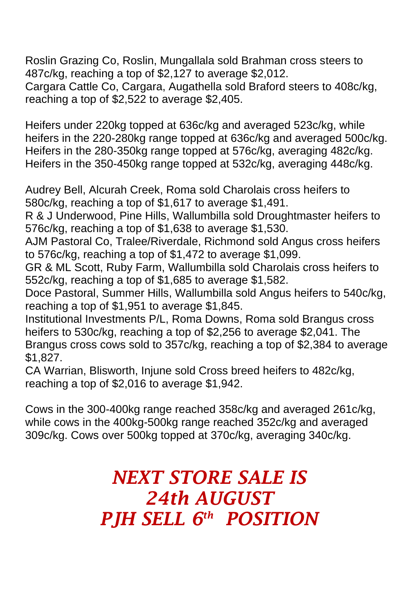Roslin Grazing Co, Roslin, Mungallala sold Brahman cross steers to 487c/kg, reaching a top of \$2,127 to average \$2,012. Cargara Cattle Co, Cargara, Augathella sold Braford steers to 408c/kg, reaching a top of \$2,522 to average \$2,405.

Heifers under 220kg topped at 636c/kg and averaged 523c/kg, while heifers in the 220-280kg range topped at 636c/kg and averaged 500c/kg. Heifers in the 280-350kg range topped at 576c/kg, averaging 482c/kg. Heifers in the 350-450kg range topped at 532c/kg, averaging 448c/kg.

Audrey Bell, Alcurah Creek, Roma sold Charolais cross heifers to 580c/kg, reaching a top of \$1,617 to average \$1,491.

R & J Underwood, Pine Hills, Wallumbilla sold Droughtmaster heifers to 576c/kg, reaching a top of \$1,638 to average \$1,530.

AJM Pastoral Co, Tralee/Riverdale, Richmond sold Angus cross heifers to 576c/kg, reaching a top of \$1,472 to average \$1,099.

GR & ML Scott, Ruby Farm, Wallumbilla sold Charolais cross heifers to 552c/kg, reaching a top of \$1,685 to average \$1,582.

Doce Pastoral, Summer Hills, Wallumbilla sold Angus heifers to 540c/kg, reaching a top of \$1,951 to average \$1,845.

Institutional Investments P/L, Roma Downs, Roma sold Brangus cross heifers to 530c/kg, reaching a top of \$2,256 to average \$2,041. The Brangus cross cows sold to 357c/kg, reaching a top of \$2,384 to average \$1,827.

CA Warrian, Blisworth, Injune sold Cross breed heifers to 482c/kg, reaching a top of \$2,016 to average \$1,942.

Cows in the 300-400kg range reached 358c/kg and averaged 261c/kg, while cows in the 400kg-500kg range reached 352c/kg and averaged 309c/kg. Cows over 500kg topped at 370c/kg, averaging 340c/kg.

## *NEXT STORE SALE IS 24th AUGUST PJH SELL 6 th POSITION*